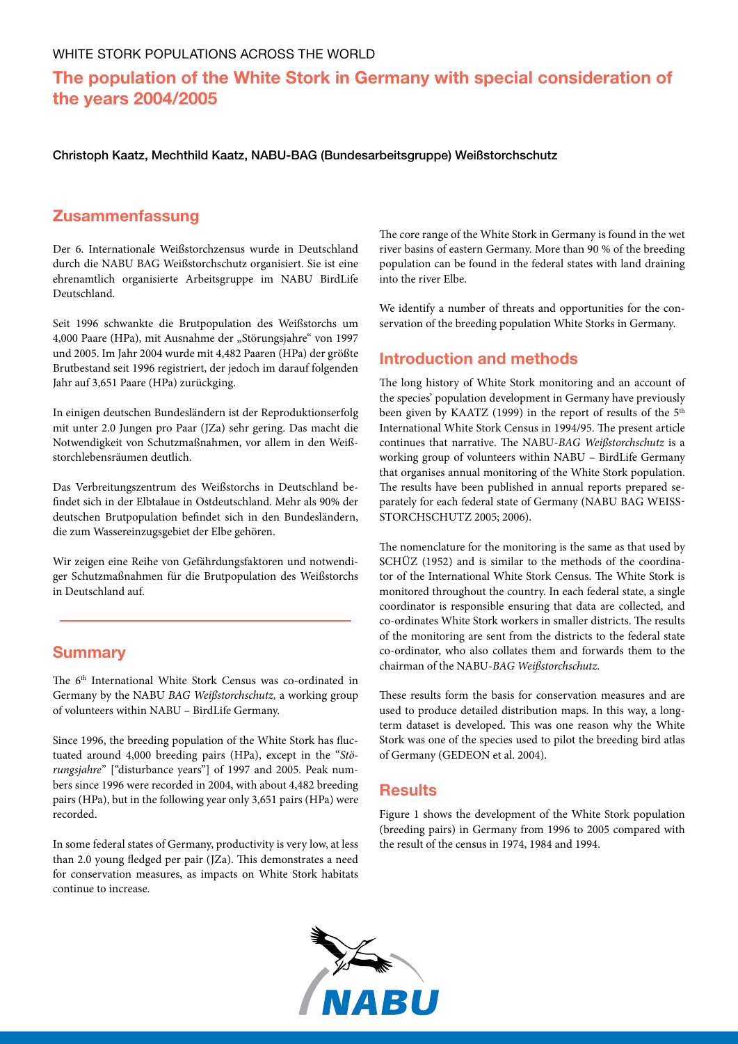# **The population of the White Stork in Germany with special consideration of the years 2004/2005**

Christoph Kaatz, Mechthild Kaatz, NABU-BAG (Bundesarbeitsgruppe) Weißstorchschutz

## **Zusammenfassung**

Der 6. Internationale Weißstorchzensus wurde in Deutschland durch die NABU BAG Weißstorchschutz organisiert. Sie ist eine ehrenamtlich organisierte Arbeitsgruppe im NABU BirdLife Deutschland.

Seit 1996 schwankte die Brutpopulation des Weißstorchs um 4,000 Paare (HPa), mit Ausnahme der "Störungsjahre" von 1997 und 2005. Im Jahr 2004 wurde mit 4,482 Paaren (HPa) der größte Brutbestand seit 1996 registriert, der jedoch im darauf folgenden Jahr auf 3,651 Paare (HPa) zurückging.

In einigen deutschen Bundesländern ist der Reproduktionserfolg mit unter 2.0 Jungen pro Paar (JZa) sehr gering. Das macht die Notwendigkeit von Schutzmaßnahmen, vor allem in den Weißstorchlebensräumen deutlich.

Das Verbreitungszentrum des Weißstorchs in Deutschland befindet sich in der Elbtalaue in Ostdeutschland. Mehr als 90% der deutschen Brutpopulation befindet sich in den Bundesländern, die zum Wassereinzugsgebiet der Elbe gehören.

Wir zeigen eine Reihe von Gefährdungsfaktoren und notwendiger Schutzmaßnahmen für die Brutpopulation des Weißstorchs in Deutschland auf.

## **Summary**

The 6<sup>th</sup> International White Stork Census was co-ordinated in Germany by the NABU *BAG Weißstorchschutz,* a working group of volunteers within NABU – BirdLife Germany.

Since 1996, the breeding population of the White Stork has fluctuated around 4,000 breeding pairs (HPa), except in the "*Störungsjahre*" ["disturbance years"] of 1997 and 2005. Peak numbers since 1996 were recorded in 2004, with about 4,482 breeding pairs (HPa), but in the following year only 3,651 pairs (HPa) were recorded.

In some federal states of Germany, productivity is very low, at less than 2.0 young fledged per pair (JZa). This demonstrates a need for conservation measures, as impacts on White Stork habitats continue to increase.

The core range of the White Stork in Germany is found in the wet river basins of eastern Germany. More than 90 % of the breeding population can be found in the federal states with land draining into the river Elbe.

We identify a number of threats and opportunities for the conservation of the breeding population White Storks in Germany.

## **Introduction and methods**

The long history of White Stork monitoring and an account of the species' population development in Germany have previously been given by KAATZ (1999) in the report of results of the 5<sup>th</sup> International White Stork Census in 1994/95. The present article continues that narrative. The NABU-*BAG Weißstorchschutz* is a working group of volunteers within NABU – BirdLife Germany that organises annual monitoring of the White Stork population. The results have been published in annual reports prepared separately for each federal state of Germany (NABU BAG Weissstorchschutz 2005; 2006).

The nomenclature for the monitoring is the same as that used by SCHÜZ (1952) and is similar to the methods of the coordinator of the International White Stork Census. The White Stork is monitored throughout the country. In each federal state, a single coordinator is responsible ensuring that data are collected, and co-ordinates White Stork workers in smaller districts. The results of the monitoring are sent from the districts to the federal state co-ordinator, who also collates them and forwards them to the chairman of the NABU-*BAG Weißstorchschutz*.

These results form the basis for conservation measures and are used to produce detailed distribution maps. In this way, a longterm dataset is developed. This was one reason why the White Stork was one of the species used to pilot the breeding bird atlas of Germany (GEDEON et al. 2004).

#### **Results**

Figure 1 shows the development of the White Stork population (breeding pairs) in Germany from 1996 to 2005 compared with the result of the census in 1974, 1984 and 1994.

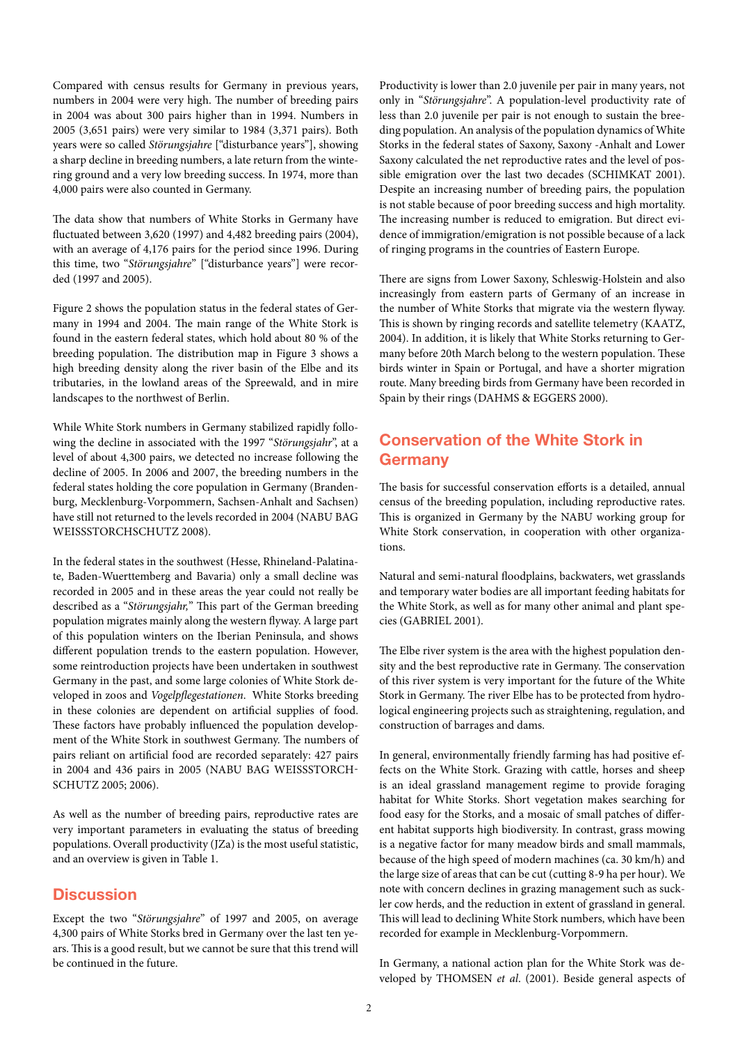Compared with census results for Germany in previous years, numbers in 2004 were very high. The number of breeding pairs in 2004 was about 300 pairs higher than in 1994. Numbers in 2005 (3,651 pairs) were very similar to 1984 (3,371 pairs). Both years were so called *Störungsjahre* ["disturbance years"], showing a sharp decline in breeding numbers, a late return from the wintering ground and a very low breeding success. In 1974, more than 4,000 pairs were also counted in Germany.

The data show that numbers of White Storks in Germany have fluctuated between 3,620 (1997) and 4,482 breeding pairs (2004), with an average of 4,176 pairs for the period since 1996. During this time, two "*Störungsjahre*" ["disturbance years"] were recorded (1997 and 2005).

Figure 2 shows the population status in the federal states of Germany in 1994 and 2004. The main range of the White Stork is found in the eastern federal states, which hold about 80 % of the breeding population. The distribution map in Figure 3 shows a high breeding density along the river basin of the Elbe and its tributaries, in the lowland areas of the Spreewald, and in mire landscapes to the northwest of Berlin.

While White Stork numbers in Germany stabilized rapidly following the decline in associated with the 1997 "*Störungsjahr*", at a level of about 4,300 pairs, we detected no increase following the decline of 2005. In 2006 and 2007, the breeding numbers in the federal states holding the core population in Germany (Brandenburg, Mecklenburg-Vorpommern, Sachsen-Anhalt and Sachsen) have still not returned to the levels recorded in 2004 (NABU BAG WEISSSTORCHSCHUTZ 2008).

In the federal states in the southwest (Hesse, Rhineland-Palatinate, Baden-Wuerttemberg and Bavaria) only a small decline was recorded in 2005 and in these areas the year could not really be described as a "*Störungsjahr,*" This part of the German breeding population migrates mainly along the western flyway. A large part of this population winters on the Iberian Peninsula, and shows different population trends to the eastern population. However, some reintroduction projects have been undertaken in southwest Germany in the past, and some large colonies of White Stork developed in zoos and *Vogelpflegestationen*. White Storks breeding in these colonies are dependent on artificial supplies of food. These factors have probably influenced the population development of the White Stork in southwest Germany. The numbers of pairs reliant on artificial food are recorded separately: 427 pairs in 2004 and 436 pairs in 2005 (NABU BAG WEISSSTORCH-SCHUTZ 2005; 2006).

As well as the number of breeding pairs, reproductive rates are very important parameters in evaluating the status of breeding populations. Overall productivity (JZa) is the most useful statistic, and an overview is given in Table 1.

## **Discussion**

Except the two "*Störungsjahre*" of 1997 and 2005, on average 4,300 pairs of White Storks bred in Germany over the last ten years. This is a good result, but we cannot be sure that this trend will be continued in the future.

Productivity is lower than 2.0 juvenile per pair in many years, not only in "*Störungsjahre*". A population-level productivity rate of less than 2.0 juvenile per pair is not enough to sustain the breeding population. An analysis of the population dynamics of White Storks in the federal states of Saxony, Saxony -Anhalt and Lower Saxony calculated the net reproductive rates and the level of possible emigration over the last two decades (SCHIMKAT 2001). Despite an increasing number of breeding pairs, the population is not stable because of poor breeding success and high mortality. The increasing number is reduced to emigration. But direct evidence of immigration/emigration is not possible because of a lack of ringing programs in the countries of Eastern Europe.

There are signs from Lower Saxony, Schleswig-Holstein and also increasingly from eastern parts of Germany of an increase in the number of White Storks that migrate via the western flyway. This is shown by ringing records and satellite telemetry (KAATZ, 2004). In addition, it is likely that White Storks returning to Germany before 20th March belong to the western population. These birds winter in Spain or Portugal, and have a shorter migration route. Many breeding birds from Germany have been recorded in Spain by their rings (DAHMS & EGGERS 2000).

## **Conservation of the White Stork in Germany**

The basis for successful conservation efforts is a detailed, annual census of the breeding population, including reproductive rates. This is organized in Germany by the NABU working group for White Stork conservation, in cooperation with other organizations.

Natural and semi-natural floodplains, backwaters, wet grasslands and temporary water bodies are all important feeding habitats for the White Stork, as well as for many other animal and plant species (GABRIEL 2001).

The Elbe river system is the area with the highest population density and the best reproductive rate in Germany. The conservation of this river system is very important for the future of the White Stork in Germany. The river Elbe has to be protected from hydrological engineering projects such as straightening, regulation, and construction of barrages and dams.

In general, environmentally friendly farming has had positive effects on the White Stork. Grazing with cattle, horses and sheep is an ideal grassland management regime to provide foraging habitat for White Storks. Short vegetation makes searching for food easy for the Storks, and a mosaic of small patches of different habitat supports high biodiversity. In contrast, grass mowing is a negative factor for many meadow birds and small mammals, because of the high speed of modern machines (ca. 30 km/h) and the large size of areas that can be cut (cutting 8-9 ha per hour). We note with concern declines in grazing management such as suckler cow herds, and the reduction in extent of grassland in general. This will lead to declining White Stork numbers, which have been recorded for example in Mecklenburg-Vorpommern.

In Germany, a national action plan for the White Stork was developed by THOMSEN *et al*. (2001). Beside general aspects of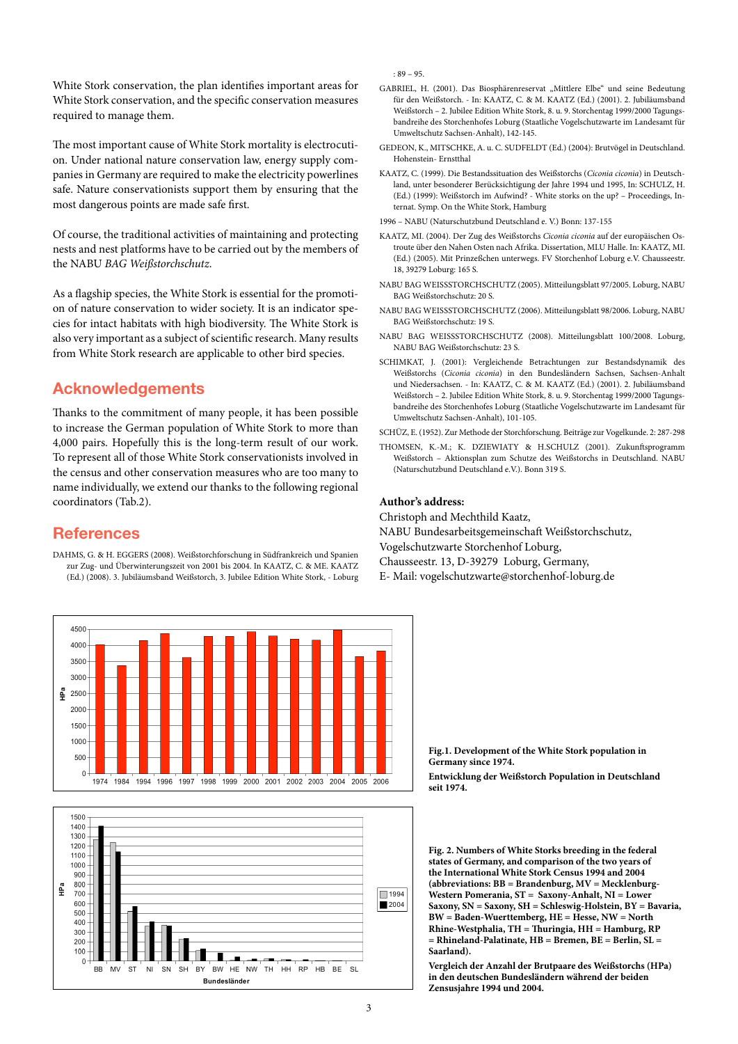White Stork conservation, the plan identifies important areas for White Stork conservation, and the specific conservation measures required to manage them.

The most important cause of White Stork mortality is electrocution. Under national nature conservation law, energy supply companies in Germany are required to make the electricity powerlines safe. Nature conservationists support them by ensuring that the most dangerous points are made safe first.

Of course, the traditional activities of maintaining and protecting nests and nest platforms have to be carried out by the members of the NABU *BAG Weißstorchschutz*.

As a flagship species, the White Stork is essential for the promotion of nature conservation to wider society. It is an indicator species for intact habitats with high biodiversity. The White Stork is also very important as a subject of scientific research. Many results from White Stork research are applicable to other bird species.

## **Acknowledgements**

Thanks to the commitment of many people, it has been possible to increase the German population of White Stork to more than 4,000 pairs. Hopefully this is the long-term result of our work. To represent all of those White Stork conservationists involved in the census and other conservation measures who are too many to name individually, we extend our thanks to the following regional coordinators (Tab.2).

## **References**

DAHMS, G. & H. EGGERS (2008). Weißstorchforschung in Südfrankreich und Spanien zur Zug- und Überwinterungszeit von 2001 bis 2004. In KAATZ, C. & ME. KAATZ (Ed.) (2008). 3. Jubiläumsband Weißstorch, 3. Jubilee Edition White Stork, - Loburg



- GABRIEL, H. (2001). Das Biosphärenreservat "Mittlere Elbe" und seine Bedeutung für den Weißstorch. - In: KAATZ, C. & M. KAATZ (Ed.) (2001). 2. Jubiläumsband Weißstorch – 2. Jubilee Edition White Stork, 8. u. 9. Storchentag 1999/2000 Tagungsbandreihe des Storchenhofes Loburg (Staatliche Vogelschutzwarte im Landesamt für Umweltschutz Sachsen-Anhalt), 142-145.
- GEDEON, K., MITSCHKE, A. u. C. SUDFELDT (Ed.) (2004): Brutvögel in Deutschland. Hohenstein- Ernstthal
- KAATZ, C. (1999). Die Bestandssituation des Weißstorchs (*Ciconia ciconia*) in Deutschland, unter besonderer Berücksichtigung der Jahre 1994 und 1995, In: SCHULZ, H. (Ed.) (1999): Weißstorch im Aufwind? - White storks on the up? – Proceedings, Internat. Symp. On the White Stork, Hamburg
- 1996 NABU (Naturschutzbund Deutschland e. V.) Bonn: 137-155
- KAATZ, MI. (2004). Der Zug des Weißstorchs *Ciconia ciconia* auf der europäischen Ostroute über den Nahen Osten nach Afrika. Dissertation, MLU Halle. In: KAATZ, MI. (Ed.) (2005). Mit Prinzeßchen unterwegs. FV Storchenhof Loburg e.V. Chausseestr. 18, 39279 Loburg: 165 S.
- NABU BAG WeiSSstorchschutz (2005). Mitteilungsblatt 97/2005. Loburg, NABU BAG Weißstorchschutz: 20 S.
- NABU BAG WeiSSstorchschutz (2006). Mitteilungsblatt 98/2006. Loburg, NABU BAG Weißstorchschutz: 19 S.
- NABU BAG WeiSSstorchschutz (2008). Mitteilungsblatt 100/2008. Loburg, NABU BAG Weißstorchschutz: 23 S.
- SCHIMKAT, J. (2001): Vergleichende Betrachtungen zur Bestandsdynamik des Weißstorchs (*Ciconia ciconia*) in den Bundesländern Sachsen, Sachsen-Anhalt und Niedersachsen. - In: KAATZ, C. & M. KAATZ (Ed.) (2001). 2. Jubiläumsband Weißstorch – 2. Jubilee Edition White Stork, 8. u. 9. Storchentag 1999/2000 Tagungsbandreihe des Storchenhofes Loburg (Staatliche Vogelschutzwarte im Landesamt für Umweltschutz Sachsen-Anhalt), 101-105.

SCHÜZ, E. (1952). Zur Methode der Storchforschung. Beiträge zur Vogelkunde. 2: 287-298

THOMSEN, K.-M.; K. DZIEWIATY & H.SCHULZ (2001). Zukunftsprogramm Weißstorch – Aktionsplan zum Schutze des Weißstorchs in Deutschland. NABU (Naturschutzbund Deutschland e.V.). Bonn 319 S.

#### **Author's address:**

Christoph and Mechthild Kaatz, NABU Bundesarbeitsgemeinschaft Weißstorchschutz, Vogelschutzwarte Storchenhof Loburg, Chausseestr. 13, D-39279 Loburg, Germany, E- Mail: vogelschutzwarte@storchenhof-loburg.de

4500 4000 3500 3000  $\frac{1}{2}$  2500 2000 1500 1000 500 1974 1984 1994 1996 1997 1998 1999 2000 2001 2002 2003 2004 2005 2006



**Fig.1. Development of the White Stork population in Germany since 1974.** 

**Entwicklung der Weißstorch Population in Deutschland seit 1974.** 

**Fig. 2. Numbers of White Storks breeding in the federal states of Germany, and comparison of the two years of the International White Stork Census 1994 and 2004 (abbreviations: BB = Brandenburg, MV = Mecklenburg-Western Pomerania, ST = Saxony-Anhalt, NI = Lower Saxony, SN = Saxony, SH = Schleswig-Holstein, BY = Bavaria, BW = Baden-Wuerttemberg, HE = Hesse, NW = North Rhine-Westphalia, TH = Thuringia, HH = Hamburg, RP = Rhineland-Palatinate, HB = Bremen, BE = Berlin, SL = Saarland).** 

**Vergleich der Anzahl der Brutpaare des Weißstorchs (HPa) in den deutschen Bundesländern während der beiden Zensusjahre 1994 und 2004.**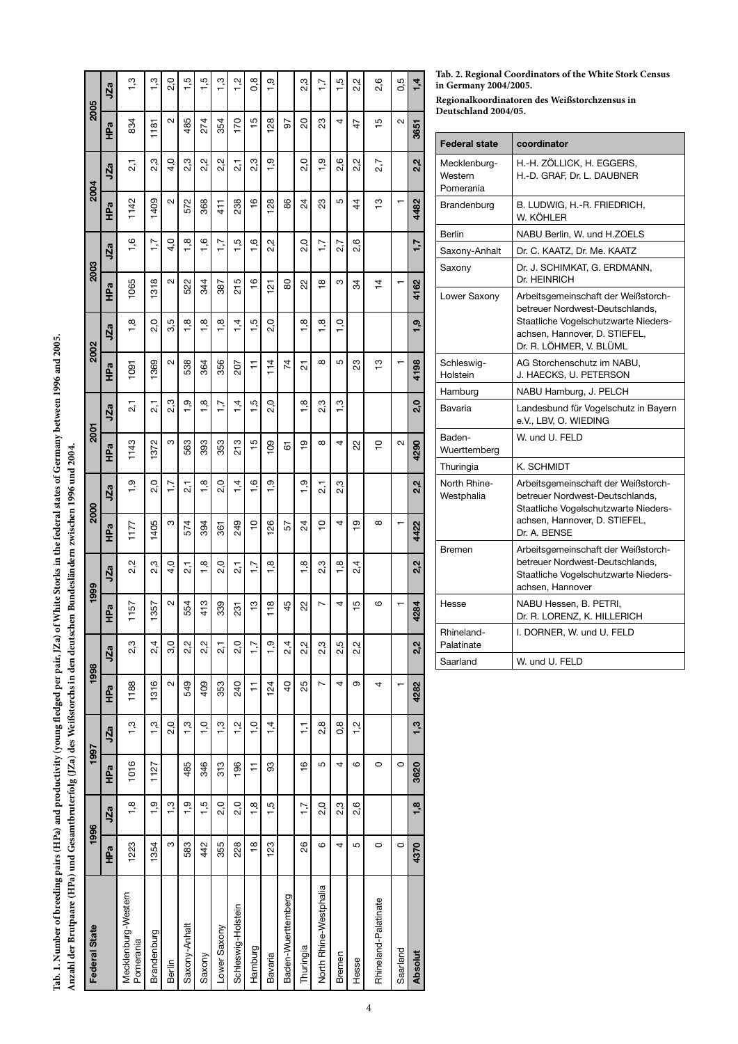| Anzahl der Brutpaare (HPa) und Gesamtbruterfolg (JZa) des Weißstorchs in den deutschen Bundesländern zwischen 1996 und 2004. |               |                   |               |               |                |                  |                |                  |                |                  |                |                      |          |                  |               |               |               |                  |                |               |
|------------------------------------------------------------------------------------------------------------------------------|---------------|-------------------|---------------|---------------|----------------|------------------|----------------|------------------|----------------|------------------|----------------|----------------------|----------|------------------|---------------|---------------|---------------|------------------|----------------|---------------|
| Federal State                                                                                                                |               | 1996              |               | 1997          | 1998           |                  | 1999           |                  | 2000           |                  | <b>2001</b>    |                      | 2002     |                  | 2003          |               | 2004          |                  | 2005           |               |
|                                                                                                                              | HPa           | JZa               | НPa           | JZa           | НPa            | JZa              | HPa            | JZa              | HPa            | JZa              | Êа             | JZa                  | Êа       | JZa              | Êа            | JZa           | Êа            | JZa              | Êа             | JZa           |
| Mecklenburg-Western<br>Pomerania                                                                                             | 1223          | 1,8               | 1016          | 1,3           | 1188           | 2,3              | 1157           | 2,2              | 117            | 1,9              | 1143           | $\overline{2,1}$     | 1091     | 1,8              | 1065          | 1,6           | 1142          | $\overline{2,1}$ | 834            | 1,3           |
| Brandenburg                                                                                                                  | 1354          | $\frac{1}{2}$     | 1127          | 1,3           | 1316           | 2,4              | 1357           | 2,3              | 1405           | 2,0              | 1372           | $\overline{2,1}$     | 1369     | 2,0              | 1318          | 7.7           | 1409          | 2,3              | 1181           | $\frac{3}{2}$ |
| Berlin                                                                                                                       | ო             | ო                 |               | 2,0           | 2              | 3,0              | Ν              | $\frac{4}{1}$    | ო              | $\frac{1}{1}$    | ო              | 2,3                  | 2        | 3,5              | 2             | 4,0           | Ν             | 4,0              | Σ              | 2,0           |
| Saxony-Anhalt                                                                                                                | 583           | ن<br>ت            | 485           | 1,3           | 549            | 2,2              | 554            | $\overline{2}$   | 574            | $\overline{2}$ ; | 563            | ი.<br>1              | 538      | $\frac{8}{1}$    | 522           | $\frac{8}{1}$ | 572           | 2,3              | 485            | 1,5           |
| Saxony                                                                                                                       | 442           | $\ddot{\tilde{}}$ | 346           | $\frac{0}{1}$ | 409            | 2,2              | 413            | $\frac{8}{1}$    | 394            | 1,8              | 393            | 1,8                  | 364      | $\frac{8}{1}$    | 344           | 1,6           | 368           | 2,2              | 274            | 1,5           |
| Lower Saxony                                                                                                                 | 355           | 2,0               | 313           | 1,3           | 353            | $\overline{2,1}$ | 339            | 2,0              | 361            | 2,0              | 353            | 7.7                  | 356      | $\frac{8}{1}$    | 387           | $\ddot{ }$ .  | 411           | 2,2              | 354            | $\frac{1}{2}$ |
| Schleswig-Holstein                                                                                                           | 228           | 2,0               | 196           | $\frac{1}{2}$ | 240            | 0.<br>2          | 231            | $\overline{2,1}$ | 249            | $\dot{4}$        | 213            | $\dot{4}$            | 207      | $\dot{4}$        | 215           | 1,5           | 238           | 2,1              | 170            | $\frac{1}{2}$ |
| Hamburg                                                                                                                      | $\frac{8}{1}$ | 1,8               | Ξ             | $\frac{1}{2}$ | $\overline{1}$ | $-1,7$           | ဗ္             | 7.7              | $\frac{1}{2}$  | $-1,6$           | $\frac{5}{1}$  | $\tilde{\mathbf{c}}$ | ∓        | $\ddot{5}$       | $\frac{6}{5}$ | 1,6           | $\frac{6}{5}$ | 2,3              | $\frac{5}{1}$  | 0,8           |
| <b>Bavaria</b>                                                                                                               | 123           | 1,5               | SS            | $\dot{1}$     | 124            | <u>رہ</u>        | 118            | $\frac{8}{1}$    | 126            | ين<br>᠇          | $\mathbf{S}$   | 2,0                  | 114      | 2,0              | <u>는</u>      | 2,2           | 128           | <u>ი</u>         | $\frac{8}{2}$  | $\frac{1}{2}$ |
| Baden-Wuerttemberg                                                                                                           |               |                   |               |               | $\overline{a}$ | 2,4              | 45             |                  | 57             |                  | 67             |                      | 74       |                  | 80            |               | 86            |                  | 97             |               |
| Thuringia                                                                                                                    | 26            | $-1,7$            | $\frac{6}{5}$ | F             | 25             | 2,2              | 22             | 1,8              | 24             | 1,9              | ō-             | œ                    | 21       | 1,8              | 22            | 0.<br>2       | 24            | 2,0              | 20             | 2,3           |
| North Rhine-Westphalia                                                                                                       | ဖ             | 2,0               | 5             | 2,8           | Ľ              | 2,3              | Ņ              | 2,3              | $\overline{C}$ | $\overline{2,1}$ | $\infty$       | 2,3                  | $\infty$ | 1,8              | $\frac{8}{1}$ | $-1,7$        | 23            | ე.<br>1          | 23             | 1,7           |
| Bremen                                                                                                                       | 4             | 2,3               | 4             | 0,8           | 4              | 2,5              | 4              | $\frac{8}{1}$    | 4              | 2,3              | 4              | .<br>پ               | 5        | $\overline{1}$ . | ო             | 2,7           | 5             | 2,6              | 4              | 1,5           |
| Hesse                                                                                                                        | 5             | 2,6               | ဖ             | $\frac{1}{2}$ | თ              | 2,2              | $\overline{5}$ | 2,4              | စ္             |                  | 22             |                      | 23       |                  | 34            | 2,6           | 4             | 2,2              | 47             | 2,2           |
| Rhineland-Palatinate                                                                                                         | $\circ$       |                   | $\circ$       |               | 4              |                  | ဖ              |                  | $\infty$       |                  | $\overline{C}$ |                      | مبر<br>ب |                  | $\frac{1}{4}$ |               | ဗ္            | 2,7              | $\frac{15}{1}$ | 2,6           |
| Saarland                                                                                                                     | $\circ$       |                   | $\circ$       |               |                |                  |                |                  |                |                  | $\sim$         |                      |          |                  |               |               |               |                  | $\sim$         | 0,5           |

**Tab. 1. Number of breeding pairs (HPa) and productivity (young fledged per pair, JZa) of White Storks in the federal states of Germany between 1996 and 2005.**

Tab. 1. Number of breeding pairs (HPa) and productivity (young fledged per pair, JZa) of White Storks in the federal states of Germany between 1996 and 2005.

**Tab. 2. Regional Coordinators of the White Stork Census in Germany 2004/2005.** 

**Regionalkoordinatoren des Weißstorchzensus in Deutschland 2004/05.** 

| <b>Federal state</b>                 | coordinator                                                                                                                                                                |
|--------------------------------------|----------------------------------------------------------------------------------------------------------------------------------------------------------------------------|
| Mecklenburg-<br>Western<br>Pomerania | H.-H. ZÖLLICK, H. EGGERS,<br>H.-D. GRAF, Dr. L. DAUBNER                                                                                                                    |
| Brandenburg                          | B. LUDWIG, H.-R. FRIEDRICH,<br>W. KÖHLER                                                                                                                                   |
| Berlin                               | NABU Berlin, W. und H.ZOELS                                                                                                                                                |
| Saxony-Anhalt                        | Dr. C. KAATZ, Dr. Me. KAATZ                                                                                                                                                |
| Saxony                               | Dr. J. SCHIMKAT, G. ERDMANN,<br>Dr. HEINRICH                                                                                                                               |
| Lower Saxony                         | Arbeitsgemeinschaft der Weißstorch-<br>betreuer Nordwest-Deutschlands.<br>Staatliche Vogelschutzwarte Nieders-<br>achsen, Hannover, D. STIEFEL,<br>Dr. R. LÖHMER, V. BLÜML |
| Schleswig-<br>Holstein               | AG Storchenschutz im NABU,<br>J. HAECKS, U. PETERSON                                                                                                                       |
| Hamburg                              | NABU Hamburg, J. PELCH                                                                                                                                                     |
| Bavaria                              | Landesbund für Vogelschutz in Bayern<br>e.V., LBV, O. WIEDING                                                                                                              |
| Baden-<br>Wuerttemberg               | W. und U. FELD                                                                                                                                                             |
| Thuringia                            | K. SCHMIDT                                                                                                                                                                 |
| North Rhine-<br>Westphalia           | Arbeitsgemeinschaft der Weißstorch-<br>betreuer Nordwest-Deutschlands.<br>Staatliche Vogelschutzwarte Nieders-<br>achsen, Hannover, D. STIEFEL,<br>Dr. A. BENSE            |
| Bremen                               | Arbeitsgemeinschaft der Weißstorch-<br>betreuer Nordwest-Deutschlands.<br>Staatliche Vogelschutzwarte Nieders-<br>achsen, Hannover                                         |
| Hesse                                | NABU Hessen, B. PETRI,<br>Dr. R. LORENZ, K. HILLERICH                                                                                                                      |
| Rhineland-<br>Palatinate             | I. DORNER, W. und U. FELD                                                                                                                                                  |
| Saarland                             | W. und U. FELD                                                                                                                                                             |

Absolut 1,8 | 1,8 | 1,8 | 1,3 | 1,3 | 4282 | 422 | 422 | 422 | 429 | 429 | 429 | 429 | 1,9 | 418 | 418 | 1,4 | 418 | 1,4 | 418 | 1,4 | 418 | 1,4 | 418 | 1,4 | 418 | 1,4 | 418 | 1,4 | 418 | 1,4 | 418 | 1,4 | 418 | 1,4 | 418

 $2,2$ 

4284

 $2,2$ 

4282

 $\ddot{5}$ 

3620

 $1,8$ 

4370

**Absolut** 

4422

 $1,4$ 

3651

 $2,2$ 

4482

 $\ddot{1}$ 

4162

 $1,9$ 

4198

2,0

4290

 $2,2$